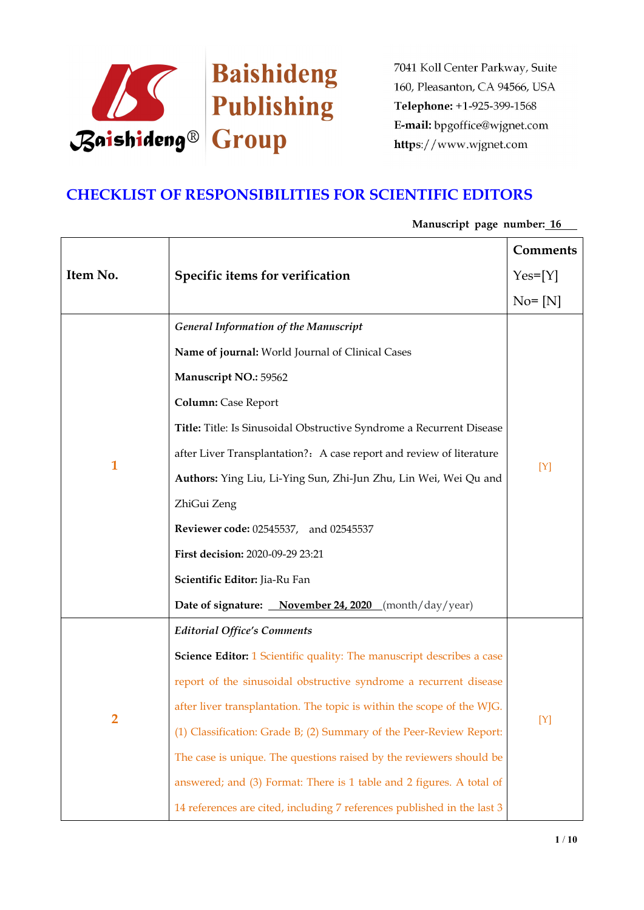

# **CHECKLIST OF RESPONSIBILITIES FOR SCIENTIFIC EDITORS**

# **Item No. Specific items for verification Comments**  $Yes=[Y]$  $No = [N]$ **1** *General Information of the Manuscript* **Name of journal:** World Journal of Clinical Cases **Manuscript NO.:** 59562 **Column:** Case Report **Title:** Title: Is Sinusoidal Obstructive Syndrome a Recurrent Disease after Liver Transplantation?: A case report and review of literature **Authors:** Ying Liu, Li-Ying Sun, Zhi-Jun Zhu, Lin Wei, Wei Qu and ZhiGui Zeng **Reviewer code:** 02545537, and 02545537 **First decision:** 2020-09-29 23:21 **Scientific Editor:** Jia-Ru Fan **Date of signature: November 24, 2020** (month/day/year)  $[Y]$ **2** *Editorial Office's Comments* **Science Editor:** 1 Scientific quality: The manuscript describes a case report of the sinusoidal obstructive syndrome a recurrent disease after liver transplantation. The topic is within the scope of the WJG. (1) Classification: Grade B; (2) Summary of the Peer-Review Report: The case is unique. The questions raised by the reviewers should be answered; and (3) Format: There is 1 table and 2 figures. A total of 14 references are cited, including 7 references published in the last 3  $[Y]$

## **Manuscript page number: 16**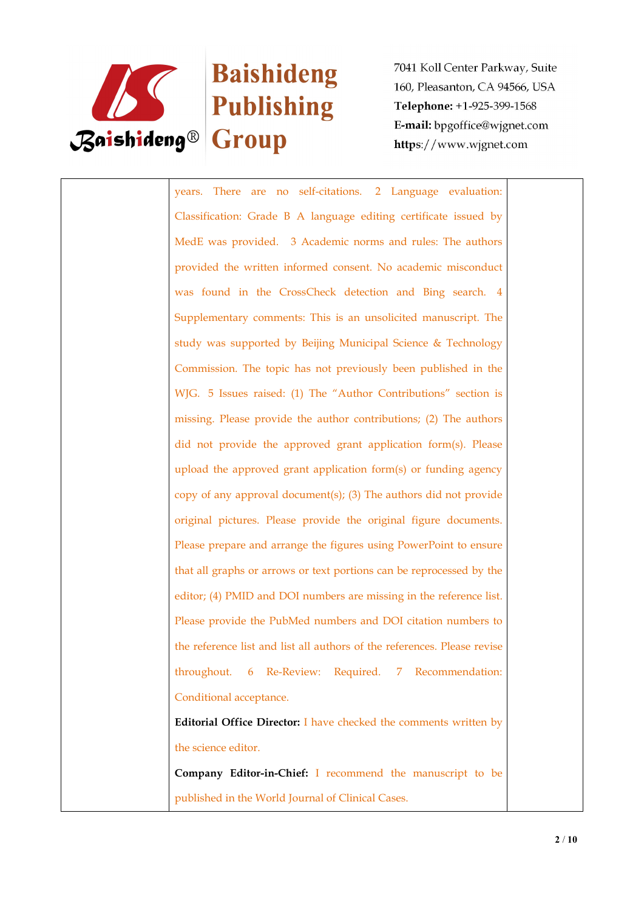

# Baishideng

7041 Koll Center Parkway, Suite 160, Pleasanton, CA 94566, USA Telephone: +1-925-399-1568 E-mail: bpgoffice@wjgnet.com https://www.wjgnet.com

years. There are no self-citations. 2 Language evaluation: Classification: Grade B A language editing certificate issued by MedE was provided. 3 Academic norms and rules: The authors provided the written informed consent. No academic misconduct was found in the CrossCheck detection and Bing search. 4 Supplementary comments: This is an unsolicited manuscript. The study was supported by Beijing Municipal Science & Technology Commission. The topic has not previously been published in the WJG. 5 Issues raised: (1) The "Author Contributions" section is missing. Please provide the author contributions; (2) The authors did not provide the approved grant application form(s). Please upload the approved grant application form(s) or funding agency copy of any approval document(s); (3) The authors did not provide original pictures. Please provide the original figure documents. Please prepare and arrange the figures using PowerPoint to ensure that all graphs or arrows or text portions can be reprocessed by the editor; (4) PMID and DOI numbers are missing in the reference list. Please provide the PubMed numbers and DOI citation numbers to the reference list and list all authors of the references. Please revise throughout. 6 Re-Review: Required. 7 Recommendation: Conditional acceptance. **Editorial Office Director:** I have checked the comments written by the science editor. **Company Editor-in-Chief:** I recommend the manuscript to be published in the World Journal of Clinical Cases.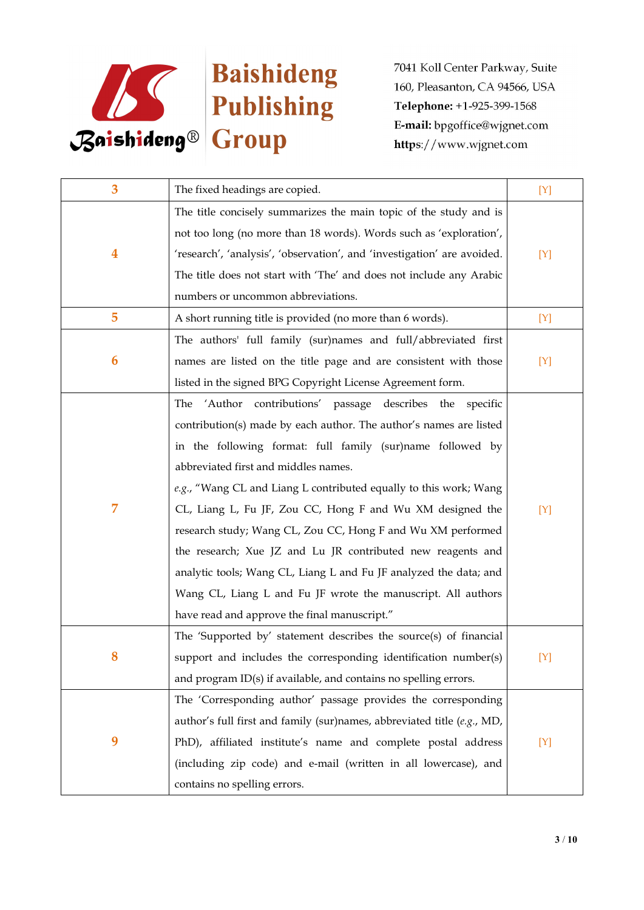

| 3                | The fixed headings are copied.                                            | [Y] |
|------------------|---------------------------------------------------------------------------|-----|
|                  | The title concisely summarizes the main topic of the study and is         |     |
|                  | not too long (no more than 18 words). Words such as 'exploration',        |     |
| $\boldsymbol{4}$ | 'research', 'analysis', 'observation', and 'investigation' are avoided.   | [Y] |
|                  | The title does not start with 'The' and does not include any Arabic       |     |
|                  | numbers or uncommon abbreviations.                                        |     |
| 5                | A short running title is provided (no more than 6 words).                 | [Y] |
|                  | The authors' full family (sur)names and full/abbreviated first            |     |
| 6                | names are listed on the title page and are consistent with those          | [Y] |
|                  | listed in the signed BPG Copyright License Agreement form.                |     |
|                  | The 'Author contributions' passage<br>describes the specific              |     |
|                  | contribution(s) made by each author. The author's names are listed        |     |
|                  | in the following format: full family (sur)name followed by                |     |
|                  | abbreviated first and middles names.                                      |     |
|                  | e.g., "Wang CL and Liang L contributed equally to this work; Wang         |     |
| 7                | CL, Liang L, Fu JF, Zou CC, Hong F and Wu XM designed the                 | [Y] |
|                  | research study; Wang CL, Zou CC, Hong F and Wu XM performed               |     |
|                  | the research; Xue JZ and Lu JR contributed new reagents and               |     |
|                  | analytic tools; Wang CL, Liang L and Fu JF analyzed the data; and         |     |
|                  | Wang CL, Liang L and Fu JF wrote the manuscript. All authors              |     |
|                  | have read and approve the final manuscript."                              |     |
|                  | The 'Supported by' statement describes the source(s) of financial         |     |
|                  | support and includes the corresponding identification number(s)           | [Y] |
|                  | and program $ID(s)$ if available, and contains no spelling errors.        |     |
|                  | The 'Corresponding author' passage provides the corresponding             |     |
|                  | author's full first and family (sur)names, abbreviated title $(e.g., MD,$ |     |
| 9                | PhD), affiliated institute's name and complete postal address             | [Y] |
|                  | (including zip code) and e-mail (written in all lowercase), and           |     |
|                  | contains no spelling errors.                                              |     |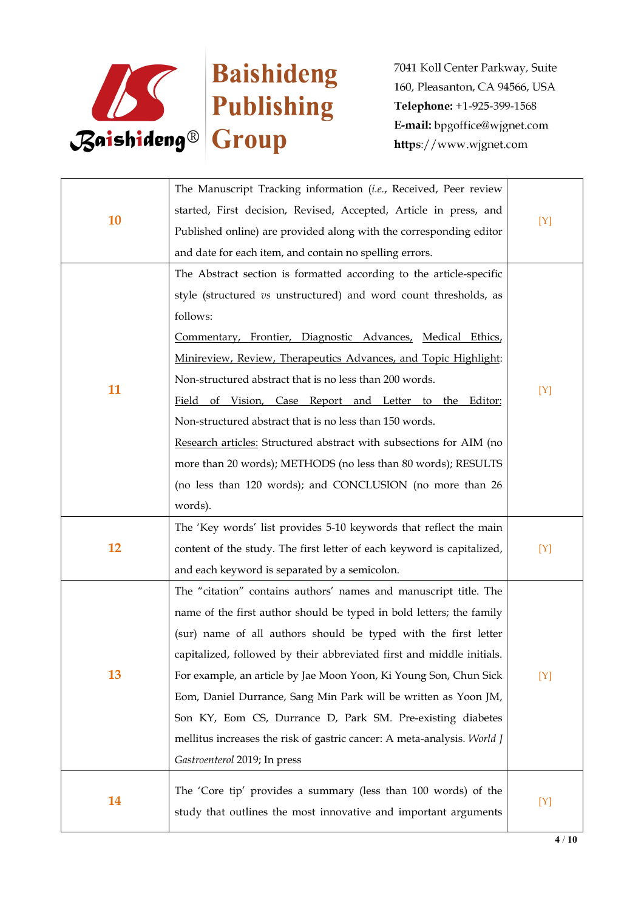

| 10 | The Manuscript Tracking information (i.e., Received, Peer review        |     |
|----|-------------------------------------------------------------------------|-----|
|    | started, First decision, Revised, Accepted, Article in press, and       | [Y] |
|    | Published online) are provided along with the corresponding editor      |     |
|    | and date for each item, and contain no spelling errors.                 |     |
|    | The Abstract section is formatted according to the article-specific     |     |
|    | style (structured vs unstructured) and word count thresholds, as        |     |
|    | follows:                                                                |     |
|    | Commentary, Frontier, Diagnostic Advances, Medical Ethics,              |     |
|    | Minireview, Review, Therapeutics Advances, and Topic Highlight:         |     |
|    | Non-structured abstract that is no less than 200 words.                 |     |
| 11 | Field of Vision, Case Report and Letter to the Editor:                  | [Y] |
|    | Non-structured abstract that is no less than 150 words.                 |     |
|    | Research articles: Structured abstract with subsections for AIM (no     |     |
|    | more than 20 words); METHODS (no less than 80 words); RESULTS           |     |
|    | (no less than 120 words); and CONCLUSION (no more than 26               |     |
|    | words).                                                                 |     |
|    | The 'Key words' list provides 5-10 keywords that reflect the main       |     |
| 12 | content of the study. The first letter of each keyword is capitalized,  | [Y] |
|    | and each keyword is separated by a semicolon.                           |     |
|    | The "citation" contains authors' names and manuscript title. The        |     |
|    | name of the first author should be typed in bold letters; the family    |     |
|    | (sur) name of all authors should be typed with the first letter         |     |
|    | capitalized, followed by their abbreviated first and middle initials.   |     |
| 13 | For example, an article by Jae Moon Yoon, Ki Young Son, Chun Sick       | [Y] |
|    | Eom, Daniel Durrance, Sang Min Park will be written as Yoon JM,         |     |
|    | Son KY, Eom CS, Durrance D, Park SM. Pre-existing diabetes              |     |
|    | mellitus increases the risk of gastric cancer: A meta-analysis. World J |     |
|    | Gastroenterol 2019; In press                                            |     |
|    | The 'Core tip' provides a summary (less than 100 words) of the          |     |
| 14 | study that outlines the most innovative and important arguments         | [Y] |
|    |                                                                         |     |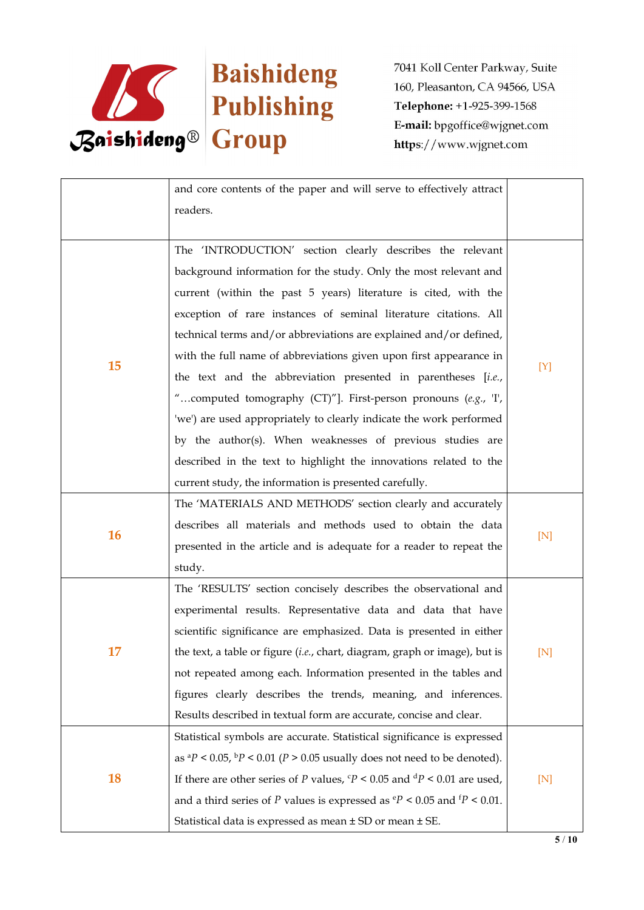

|           | and core contents of the paper and will serve to effectively attract<br>readers.          |     |  |
|-----------|-------------------------------------------------------------------------------------------|-----|--|
|           | The 'INTRODUCTION' section clearly describes the relevant                                 |     |  |
|           | background information for the study. Only the most relevant and                          |     |  |
|           | current (within the past 5 years) literature is cited, with the                           |     |  |
|           | exception of rare instances of seminal literature citations. All                          |     |  |
|           | technical terms and/or abbreviations are explained and/or defined,                        |     |  |
|           | with the full name of abbreviations given upon first appearance in                        |     |  |
| 15        | the text and the abbreviation presented in parentheses [i.e.,                             | [Y] |  |
|           | "computed tomography (CT)"]. First-person pronouns (e.g., T,                              |     |  |
|           | 'we') are used appropriately to clearly indicate the work performed                       |     |  |
|           | by the author(s). When weaknesses of previous studies are                                 |     |  |
|           | described in the text to highlight the innovations related to the                         |     |  |
|           | current study, the information is presented carefully.                                    |     |  |
|           | The 'MATERIALS AND METHODS' section clearly and accurately                                |     |  |
|           | describes all materials and methods used to obtain the data                               |     |  |
| <b>16</b> | presented in the article and is adequate for a reader to repeat the                       | [N] |  |
|           | study.                                                                                    |     |  |
|           | The 'RESULTS' section concisely describes the observational and                           |     |  |
|           | experimental results. Representative data and data that have                              |     |  |
|           | scientific significance are emphasized. Data is presented in either                       |     |  |
| 17        | the text, a table or figure (i.e., chart, diagram, graph or image), but is                | [N] |  |
|           | not repeated among each. Information presented in the tables and                          |     |  |
|           | figures clearly describes the trends, meaning, and inferences.                            |     |  |
|           | Results described in textual form are accurate, concise and clear.                        |     |  |
|           | Statistical symbols are accurate. Statistical significance is expressed                   |     |  |
| 18        | as ${}^{a}P$ < 0.05, ${}^{b}P$ < 0.01 (P > 0.05 usually does not need to be denoted).     |     |  |
|           | If there are other series of P values, $P < 0.05$ and $dP < 0.01$ are used,               | [N] |  |
|           | and a third series of P values is expressed as $\degree P$ < 0.05 and $\degree P$ < 0.01. |     |  |
|           | Statistical data is expressed as mean ± SD or mean ± SE.                                  |     |  |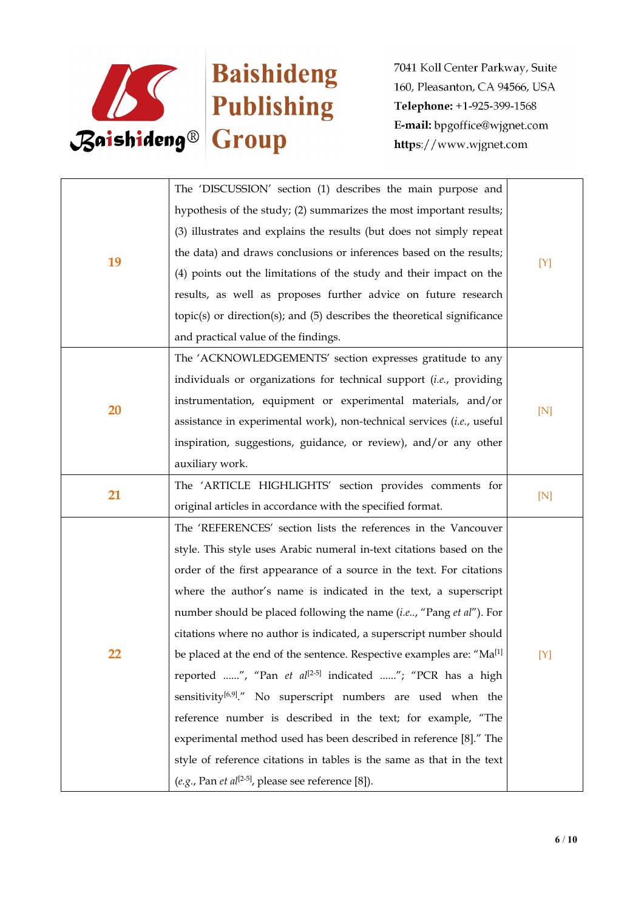

|    | The 'DISCUSSION' section (1) describes the main purpose and                       |     |  |
|----|-----------------------------------------------------------------------------------|-----|--|
|    | hypothesis of the study; (2) summarizes the most important results;               |     |  |
|    | (3) illustrates and explains the results (but does not simply repeat              |     |  |
| 19 | the data) and draws conclusions or inferences based on the results;               |     |  |
|    | (4) points out the limitations of the study and their impact on the               | [Y] |  |
|    | results, as well as proposes further advice on future research                    |     |  |
|    | $topic(s)$ or direction(s); and $(5)$ describes the theoretical significance      |     |  |
|    | and practical value of the findings.                                              |     |  |
|    | The 'ACKNOWLEDGEMENTS' section expresses gratitude to any                         |     |  |
| 20 | individuals or organizations for technical support (i.e., providing               |     |  |
|    | instrumentation, equipment or experimental materials, and/or                      |     |  |
|    | assistance in experimental work), non-technical services (i.e., useful            | [N] |  |
|    | inspiration, suggestions, guidance, or review), and/or any other                  |     |  |
|    | auxiliary work.                                                                   |     |  |
| 21 | The 'ARTICLE HIGHLIGHTS' section provides comments for                            | [N] |  |
|    | original articles in accordance with the specified format.                        |     |  |
|    | The 'REFERENCES' section lists the references in the Vancouver                    |     |  |
|    | style. This style uses Arabic numeral in-text citations based on the              |     |  |
|    | order of the first appearance of a source in the text. For citations              |     |  |
|    | where the author's name is indicated in the text, a superscript                   |     |  |
|    | number should be placed following the name (i.e, "Pang et al"). For               |     |  |
|    | citations where no author is indicated, a superscript number should               |     |  |
| 22 | be placed at the end of the sentence. Respective examples are: "Ma <sup>[1]</sup> | [Y] |  |
|    | reported ", "Pan et al <sup>[2-5]</sup> indicated "; "PCR has a high              |     |  |
|    | sensitivity <sup>[6,9]</sup> ." No superscript numbers are used when the          |     |  |
|    | reference number is described in the text; for example, "The                      |     |  |
|    | experimental method used has been described in reference [8]." The                |     |  |
|    | style of reference citations in tables is the same as that in the text            |     |  |
|    | (e.g., Pan et al <sup>[2-5]</sup> , please see reference [8]).                    |     |  |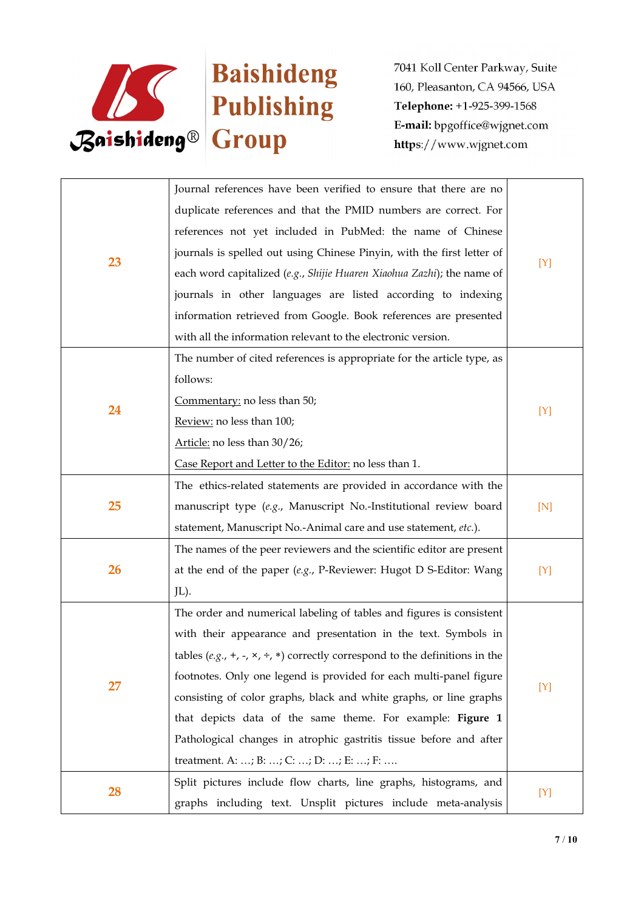

|    | Journal references have been verified to ensure that there are no                     |     |  |
|----|---------------------------------------------------------------------------------------|-----|--|
|    | duplicate references and that the PMID numbers are correct. For                       |     |  |
|    | references not yet included in PubMed: the name of Chinese                            |     |  |
|    | journals is spelled out using Chinese Pinyin, with the first letter of                |     |  |
| 23 | each word capitalized (e.g., Shijie Huaren Xiaohua Zazhi); the name of                | [Y] |  |
|    | journals in other languages are listed according to indexing                          |     |  |
|    | information retrieved from Google. Book references are presented                      |     |  |
|    | with all the information relevant to the electronic version.                          |     |  |
|    | The number of cited references is appropriate for the article type, as                |     |  |
|    | follows:                                                                              |     |  |
| 24 | Commentary: no less than 50;                                                          | [Y] |  |
|    | Review: no less than 100;                                                             |     |  |
|    | Article: no less than 30/26;                                                          |     |  |
|    | Case Report and Letter to the Editor: no less than 1.                                 |     |  |
| 25 | The ethics-related statements are provided in accordance with the                     | [N] |  |
|    | manuscript type (e.g., Manuscript No.-Institutional review board                      |     |  |
|    | statement, Manuscript No.-Animal care and use statement, etc.).                       |     |  |
|    | The names of the peer reviewers and the scientific editor are present                 | [Y] |  |
| 26 | at the end of the paper $(e.g., P\text{-}Reviewer: Hugot D S\text{-}Editor: Wang)$    |     |  |
|    | JL).                                                                                  |     |  |
|    | The order and numerical labeling of tables and figures is consistent                  |     |  |
|    | with their appearance and presentation in the text. Symbols in                        | [Y] |  |
|    | tables $(e.g., +, -, \times, \div, *)$ correctly correspond to the definitions in the |     |  |
| 27 | footnotes. Only one legend is provided for each multi-panel figure                    |     |  |
|    | consisting of color graphs, black and white graphs, or line graphs                    |     |  |
|    | that depicts data of the same theme. For example: Figure 1                            |     |  |
|    | Pathological changes in atrophic gastritis tissue before and after                    |     |  |
|    | treatment. A: ; B: ; C: ; D: ; E: ; F:                                                |     |  |
| 28 | Split pictures include flow charts, line graphs, histograms, and                      | [Y] |  |
|    | graphs including text. Unsplit pictures include meta-analysis                         |     |  |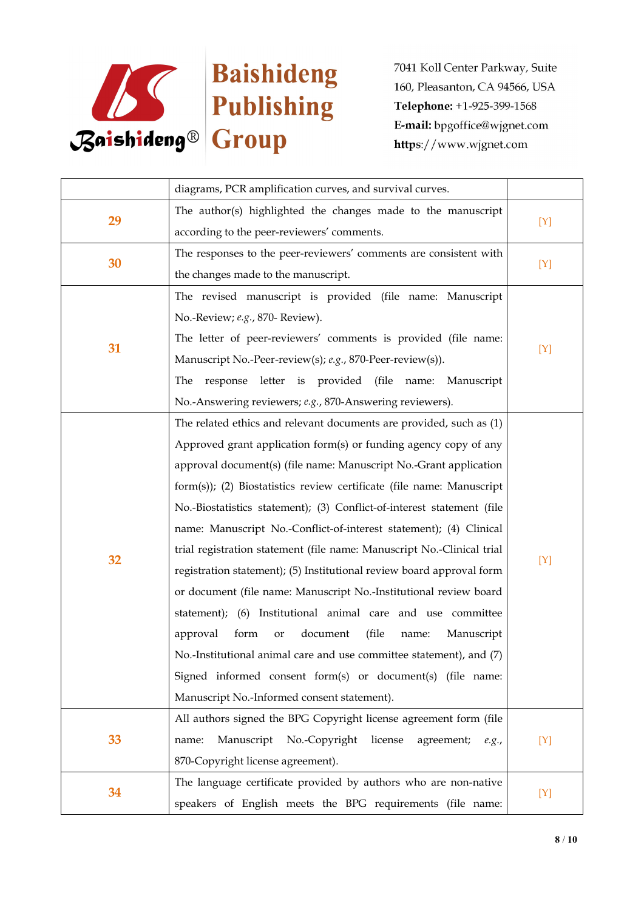

|    | diagrams, PCR amplification curves, and survival curves.               |       |
|----|------------------------------------------------------------------------|-------|
| 29 | The author(s) highlighted the changes made to the manuscript           |       |
|    | according to the peer-reviewers' comments.                             | $[Y]$ |
|    | The responses to the peer-reviewers' comments are consistent with      |       |
| 30 | the changes made to the manuscript.                                    | $[Y]$ |
|    | The revised manuscript is provided (file name: Manuscript              |       |
|    | No.-Review; e.g., 870- Review).                                        |       |
| 31 | The letter of peer-reviewers' comments is provided (file name:         |       |
|    | Manuscript No.-Peer-review(s); e.g., 870-Peer-review(s)).              | [Y]   |
|    | The response letter is provided (file name: Manuscript                 |       |
|    | No.-Answering reviewers; e.g., 870-Answering reviewers).               |       |
|    | The related ethics and relevant documents are provided, such as (1)    |       |
|    | Approved grant application form(s) or funding agency copy of any       |       |
|    | approval document(s) (file name: Manuscript No.-Grant application      |       |
|    | form(s)); (2) Biostatistics review certificate (file name: Manuscript  |       |
|    | No.-Biostatistics statement); (3) Conflict-of-interest statement (file |       |
|    | name: Manuscript No.-Conflict-of-interest statement); (4) Clinical     |       |
|    | trial registration statement (file name: Manuscript No.-Clinical trial |       |
| 32 | registration statement); (5) Institutional review board approval form  | [Y]   |
|    | or document (file name: Manuscript No.-Institutional review board      |       |
|    | statement); (6) Institutional animal care and use committee            |       |
|    | document<br>(file<br>approval<br>form<br>Manuscript<br>name:<br>or     |       |
|    | No.-Institutional animal care and use committee statement), and (7)    |       |
|    | Signed informed consent form(s) or document(s) (file name:             |       |
|    | Manuscript No.-Informed consent statement).                            |       |
|    | All authors signed the BPG Copyright license agreement form (file      |       |
| 33 | Manuscript No.-Copyright license<br>agreement; e.g.,<br>name:          | $[Y]$ |
|    | 870-Copyright license agreement).                                      |       |
| 34 | The language certificate provided by authors who are non-native        |       |
|    | speakers of English meets the BPG requirements (file name:             | $[Y]$ |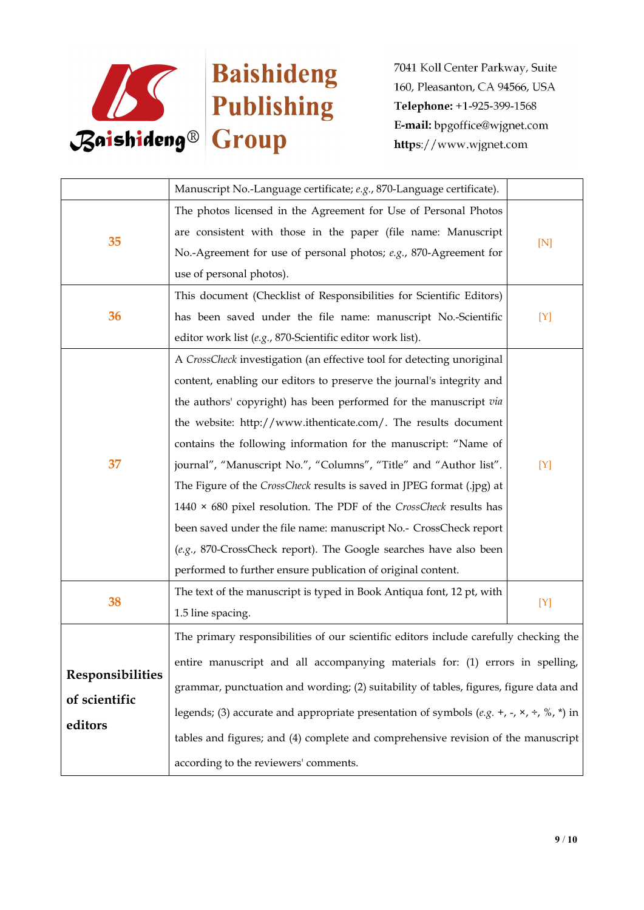

|                         | Manuscript No.-Language certificate; e.g., 870-Language certificate).                                         |     |
|-------------------------|---------------------------------------------------------------------------------------------------------------|-----|
|                         | The photos licensed in the Agreement for Use of Personal Photos                                               | [N] |
|                         | are consistent with those in the paper (file name: Manuscript                                                 |     |
| 35                      | No.-Agreement for use of personal photos; e.g., 870-Agreement for                                             |     |
|                         | use of personal photos).                                                                                      |     |
|                         | This document (Checklist of Responsibilities for Scientific Editors)                                          | [Y] |
| 36                      | has been saved under the file name: manuscript No.-Scientific                                                 |     |
|                         | editor work list (e.g., 870-Scientific editor work list).                                                     |     |
|                         | A CrossCheck investigation (an effective tool for detecting unoriginal                                        |     |
|                         | content, enabling our editors to preserve the journal's integrity and                                         |     |
|                         | the authors' copyright) has been performed for the manuscript via                                             |     |
|                         | the website: http://www.ithenticate.com/. The results document                                                |     |
|                         | contains the following information for the manuscript: "Name of                                               |     |
| 37                      | journal", "Manuscript No.", "Columns", "Title" and "Author list".                                             | [Y] |
|                         | The Figure of the CrossCheck results is saved in JPEG format (.jpg) at                                        |     |
|                         | 1440 $\times$ 680 pixel resolution. The PDF of the CrossCheck results has                                     |     |
|                         | been saved under the file name: manuscript No.- CrossCheck report                                             |     |
|                         | (e.g., 870-CrossCheck report). The Google searches have also been                                             |     |
|                         | performed to further ensure publication of original content.                                                  |     |
|                         | The text of the manuscript is typed in Book Antiqua font, 12 pt, with                                         |     |
| 38                      | 1.5 line spacing.                                                                                             | [Y] |
|                         | The primary responsibilities of our scientific editors include carefully checking the                         |     |
|                         | entire manuscript and all accompanying materials for: (1) errors in spelling,                                 |     |
| <b>Responsibilities</b> | grammar, punctuation and wording; (2) suitability of tables, figures, figure data and                         |     |
| of scientific           | legends; (3) accurate and appropriate presentation of symbols (e.g. +, -, $\times$ , $\div$ , $\%$ , $*$ ) in |     |
| editors                 | tables and figures; and (4) complete and comprehensive revision of the manuscript                             |     |
|                         |                                                                                                               |     |
|                         | according to the reviewers' comments.                                                                         |     |